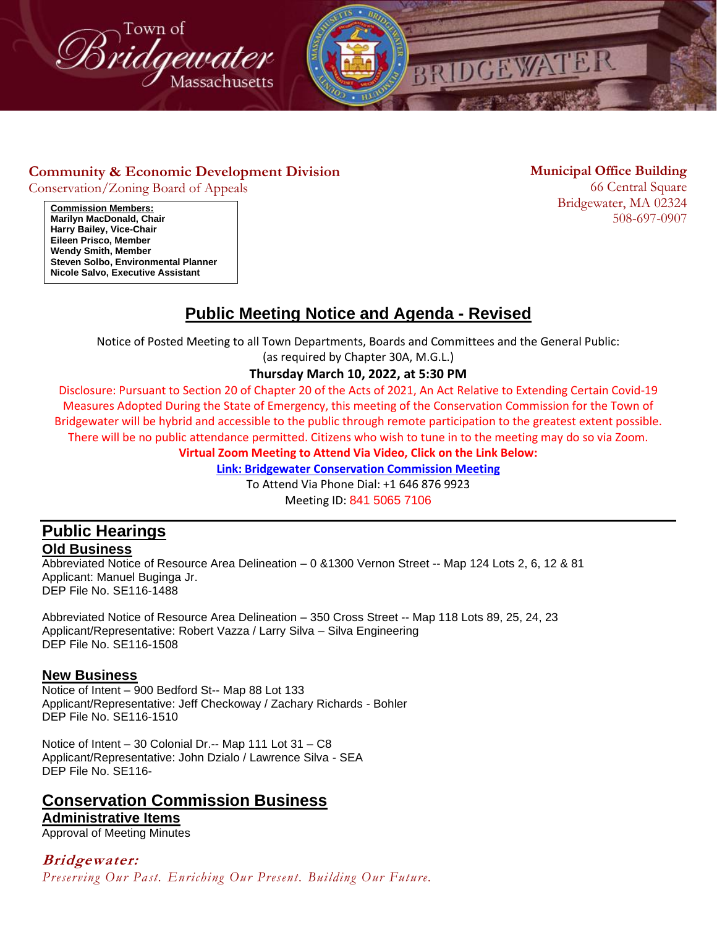



#### **Community & Economic Development Division**

Conservation/Zoning Board of Appeals

**Municipal Office Building**

66 Central Square Bridgewater, MA 02324 508-697-0907

**Commission Members: Marilyn MacDonald, Chair Harry Bailey, Vice-Chair Eileen Prisco, Member Wendy Smith, Member Steven Solbo, Environmental Planner Nicole Salvo, Executive Assistant**

# **Public Meeting Notice and Agenda - Revised**

Notice of Posted Meeting to all Town Departments, Boards and Committees and the General Public:

(as required by Chapter 30A, M.G.L.)

#### **Thursday March 10, 2022, at 5:30 PM**

Disclosure: Pursuant to Section 20 of Chapter 20 of the Acts of 2021, An Act Relative to Extending Certain Covid-19 Measures Adopted During the State of Emergency, this meeting of the Conservation Commission for the Town of Bridgewater will be hybrid and accessible to the public through remote participation to the greatest extent possible. There will be no public attendance permitted. Citizens who wish to tune in to the meeting may do so via Zoom.

**Virtual Zoom Meeting to Attend Via Video, Click on the Link Below:**

**[Link: Bridgewater Conservation Commission Meeting](https://us06web.zoom.us/j/84150657106)**

To Attend Via Phone Dial: +1 646 876 9923 Meeting ID: 841 5065 7106

#### **Public Hearings Old Business**

Abbreviated Notice of Resource Area Delineation – 0 &1300 Vernon Street -- Map 124 Lots 2, 6, 12 & 81 Applicant: Manuel Buginga Jr. DEP File No. SE116-1488

Abbreviated Notice of Resource Area Delineation – 350 Cross Street -- Map 118 Lots 89, 25, 24, 23 Applicant/Representative: Robert Vazza / Larry Silva – Silva Engineering DEP File No. SE116-1508

#### **New Business**

Notice of Intent – 900 Bedford St-- Map 88 Lot 133 Applicant/Representative: Jeff Checkoway / Zachary Richards - Bohler DEP File No. SE116-1510

Notice of Intent – 30 Colonial Dr.-- Map 111 Lot 31 – C8 Applicant/Representative: John Dzialo / Lawrence Silva - SEA DEP File No. SE116-

### **Conservation Commission Business**

### **Administrative Items**

Approval of Meeting Minutes

**Bridgewater:** *Preserving Our Past. Enriching Our Present. Building Our Future.*